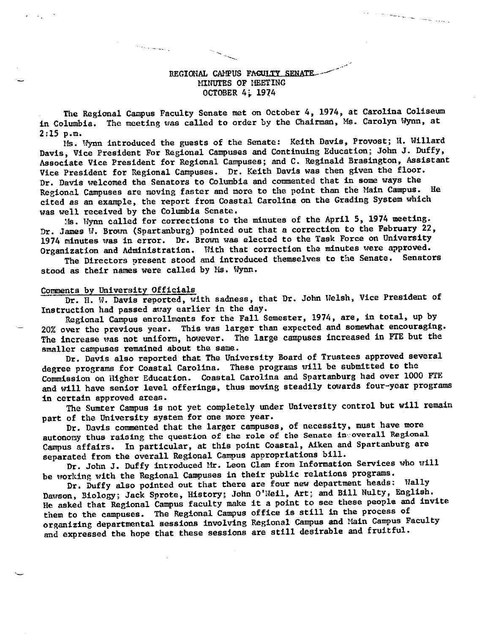## REGIONAL CAMPUS FAGULTY SENATE MINUTES OF HEETING OCTOBER 4; 1974

a participan a personal de la propincia de la propincia de la propincia de la propincia de la propincia de la

The Regional Campus Faculty Senate met on October 4, 1974, at Carolina Coliseum in Columbia. The meeting was called to order by the Chairman, Ms. Carolyn Wynn, at 2:15 p.m.

Ms. Wynn introduced the guests of the Senate: Keith Davis, Provost; It. Willard Davis, Vice President For Regional Campuses and Continuing Education; John J. Duffy, Associate Vice President for Regional Campuses; and C. Reginald Brasington, Assistant Vice President for Regional Campuses. Dr. Keith Davis was then given the floor. Dr. Davis welcomed the Senators to Columbia and commented that in some ways the Regional Campuses are moving faster and more to the point than the Main Campus. He cited as an example, the report from Coastal Carolina on the Grading System which was well received by the Columbia Senate.

~Is. Wynn called for corrections to the minutes of the April 5, 1974 meeting. Dr. James W. Brown (Spartanburg) pointed out that a correction to the February 22, 1974 minutes was in error. Dr. Brown was elected to the Task Force on University Organization and Administration. With that correction the minutes were approved.

The Directors present stood and introduced themselves to the Senate. Senators stood as their names were called by Ms. Wynn.

## Comments by University Officials

والمستسلم والالا

Dr. H. W. Davis reported, with sadness, that Dr. John Welsh, Vice President of Instruction had passed away earlier in the day.

Regional Campus enrollments for the Fall Semester, 1974, are, in total, up by 20% over the previous year. This was larger than expected and somewhat encouraging. The increase was not uniform, however. The large campuses increased in FTE but the smaller campuses remained about the same.

Dr. Davis also reported that The University Board of Trustees approved several degree programs for Coastal Carolina. These programs will be submitted to the Commission on Higher Education. Coastal Carolina and Spartanburg had over 1000 FTE and will have senior level offerings, thus moving steadily towards four-year programs in certain approved areas.

The Sumter Campus is not yet completely under University control but will remain part of the University system for one more year.

Dr. Davis commented that the larger campuses, of necessity, must have more autonomy thus raising the question of the role of the Senate in overall Regional Campus affairs. In particular, at this point Coastal, Aiken and Spartanburg are separated from the overall Regional Campus appropriations bill.

Dr. John J. Duffy introduced Hr. Leon Clam from Information Services who will be working with the Regional Campuses in their public relations programs.

Dr. Duffy also pointed out that there are four new department heads: Wally Dawson, Biology; Jack Sprote, History; John O'Neil, Art; and Bill Nulty, English. He asked that Regional Campus faculty make it a point to see these people and invite them to the campuses. The Regional Campus office is still in the process of organizing departmental sessions involving Regional Campus and Main Campus Faculty and expressed the hope that these sessions are still desirable and fruitful.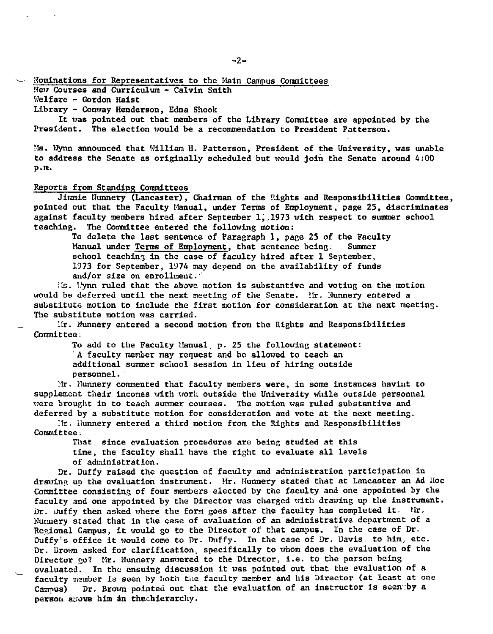## - Nominations for Representatives to the Main Campus Committees

New Courses and Curriculum - Calvin Smith

Welfare - Gordon Haist

Library - Conway Henderson, Edna Shook

It uas pointed out that members of the Library Committee are appointed by the President. The election would be a recommendation to President Patterson.

Ms. Wynn announced that William H. Patterson, President of the University, was unable to address the Senate as originally scheduled but would join the Senate around  $4:00$ p.m.

### Reports from Standing Committees

Jimmie Nunnery (Lancaster), Chairman of the Rights and Responsibilities Committee, pointed out that the Faculty Manual, under Terms of Employment, page 25, discriminates against faculty members hired after September 1, 1973 with respect to summer school teaching. The Committee entered the following motion:

To delete the last sentence of Paragraph 1, page 25 of the Faculty Manual under Terms of Employment, that sentence being: Summer Manual under Terms of Employment, that sentence being: school teaching in the case of faculty hired after  $1$  September, 1973 for September, 1974 may depend on the availability of funds and/or size on enrollment.'

ils. Hynn ruled that the above motion is substantive and voting on the motion would be deferred until the next meeting of the Senate. Mr. Nunnery entered a substitute motion to include the first motion for consideration at the **next** meeting. The substitute motion was carried.

:lr. Nunnery entered a second motion from the Rights and Responsibilities Committee;

To add to the Faculty Manual, p. 25 the following statement: 'A faculty member may request and be allowed to teach an additional summer school session in lieu of hiring outside personnel.

Hr. Nunnery commented that faculty members **were,** in some instances haviut to supplement their incomes with work outside the University while outside personnel uere brought in to teach summer courses. The motion was ruled substantive and deferred by a substitute motion for consideration and vote at the next meeting.

 $ir.$  Nunnery entered a third motion from the Rights and Responsibilities Committee,

That since evaluation procedures are being studied at this time, the faculty shall have the right to evaluate all levels of administration.

Dr. Duffy raised the question of faculty and administration participation in drawing up the evaluation instrument. Mr. Nunnery stated that at Lancaster an Ad Hoc Cormittee consisting of four members elected by the faculty and one appointed by the faculty and one appointed by the Director uas charged with drawing up the instrument. Dr. Duffy then asked where the form goes after the faculty has completed it. Mr. Nunnery stated that in the case of evaluation of an administrative department of a Regional Campus, it would go to the Director of that campus, In the case of Dr. Duffy's office it would come to Dr. Duffy. In the case of Dr. Davis, to him, etc. Dr. Drown asked for clarification, specifically to whom does the evaluation of the Director go? Hr. Nunnery ansuered to the Director, i.e. to the person being evaluated. In the ensuing discussion it was pointed out that the evaluation of a faculty member is seen by both the faculty member and his Director (at least at one Campus). Dr. Brown pointed out that the evaluation of an instructor is seen by a person above him in thechierarchy.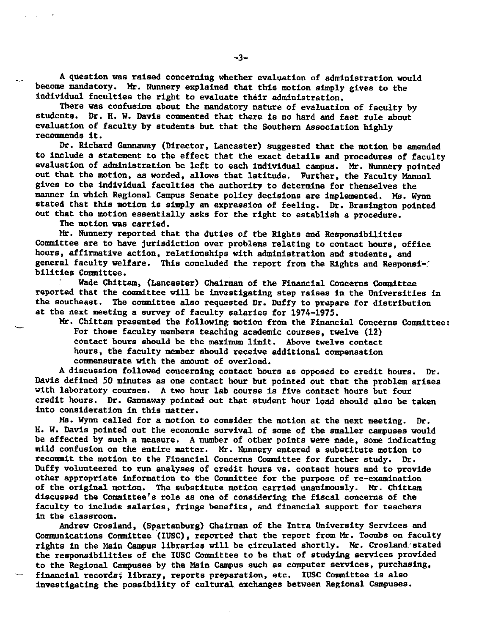A question was raised concerning whether evaluation of administration would become mandatory. Mr. Nunnery explained that this motion simply gives to the individual faculties the right to evaluate their administration.

There was confusion about the mandatory nature of evaluation of faculty by students. Dr. H. W. Davie commented that there is no hard and fast rule about evaluation of faculty by students but that the Southern Association highly recommends it.

Dr. Richard Gannaway (Director, Lancaster) suggested that the motion be amended to include a statement to the effect that the exact details and procedures of faculty evaluation of administration be left to each individual campus. Mr. Nunnery pointed out that the motion, as worded, allows that latitude. Further, the Faculty Manual gives to the individual faculties the authority to determine for themselves the manner in which Regional Campus Senate policy decisions are implemented. Me. Wynn stated that this motion is simply an expression of feeling. Dr. Brasington pointed out that the motion essentially asks for the right to establish a procedure.

The motion was carried.

Mr. Nunnery reported that the duties of the Rights and Responsibilities Committee are to have jurisdiction over problems relating to contact hours, office hours, affirmative action, relationships with administration and students, and general faculty welfare. This concluded the report from the Rights and Responsi-: bilities Committee.

Wade Chittam, (Lancaster) Chairman of the Financial Concerns Committee reported that the committee will be investigating step raises in the Universities in the southeast. The committee also requested Dr. Duffy to prepare for distribution at the next meeting a survey of faculty salaries for 1974-1975.

Mr. Chittam presented the following motion from the Financial Concerns Committee: For those faculty members teaching academic courses, twelve (12) contact hours should be the maximum limit. Above twelve contact hours, the faculty member should receive additional compensation commensurate with the amount of overload.

A discussion followed concerning contact hours as opposed to credit hours. Dr. Davis defined 50 minutes as one contact hour but pointed out that the problem arises with laboratory courses. A two hour lab course is five contact hours but four credit hours. Dr. Gannaway pointed out that student hour load should also be taken into consideration in this matter.

Ms. Wynn called for a motion to consider the motion at the next meeting. Dr. H. W. Davis pointed out the economic survival of some of the smaller campuses would be affected by such a measure. A number of other points were made, some indicating mild confusion on the entire matter. Mr, Nunnery entered a substitute motion to recommit the motion to the Financial Concerns Committee for further study. Dr. Duffy volunteered to run analyses of credit hours vs. contact hours and to provide other appropriate information to the Committee for the purpose of re-examination of the original motion. The substitute motion carried unanimously. Mr. Chittam discussed the Committee's role as one of considering the fiscal concerns of the faculty to include salaries, fringe benefits, and financial support for teachers in the classroom.

Andrew Crosland, (Spartanburg) Chairman of the Intra University Services and Communications Committee (IUSC), reported that the report from Mr. Toombs on faculty rights in the Main Campus libraries will be circulated shortly. Mr. Crosland stated the responsibilities of the IUSC Committee to be that of studying services provided to the Regional Campuses by the Main Campus such as computer services, purchasing, financial records; library, reports preparation, etc. IUSC Committee is also investigating the possibility of cultural. exchanges between Regional Campuses.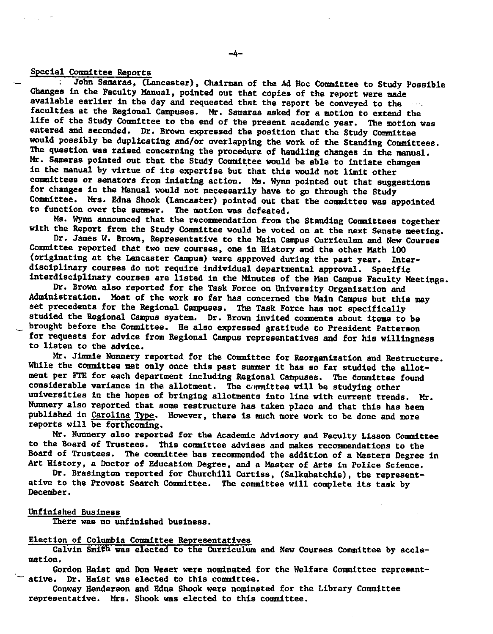#### Special Committee Reports

John **Samaras,** (Lancaster}, Chairman of the Ad Hoc Committee to Study Possible Changes in the Faculty Manual, pointed out that copies of the report were made available earlier in the day and requested that the report be conveyed to the faculties at the Regional Campuses. Mr, Samaras asked for a motion to extend the life of the Study Committee to the end of the present academic year. The motion was entered and seconded, Dr, Brown expressed the position that the Study Committee would possibly be duplicating and/or overlapping the work of the Standing Committees. The question was raised concerning the procedure of handling changes in the manual, Mr. Samaras pointed out that the Study Committee would be able to intiate changes in the manual by virtue of its expertise but that this would not limit other committees or senators from iniating action. Ms. Wynn pointed out that suggestions for changes in the Manual would not necessarily have to go through the Study Committee. Mrs. Edna Shook (Lancaster} pointed out that the committee was appointed to function over the summer. The motion was defeated,

Ms. Wynn announced that the recommendation from the Standing Committees together with the Report from the Study Committee would be voted on at the next Senate meeting.

Dr. James W. Brown, Representative to the Main Campus Curriculum and New Courses Committee reported that two new courses, one in History and the other Math 100 (originating at the Lancaster Campus} were approved during the past year. Interdisciplinary courses do not require individual departmental approval. Specific interdisciplinary courses are listed in the Minutes of the Man Campus Faculty Meetings.

Dr. Brown also reported for the Task Force on University Organization and Administration. Most of the work so far has concerned the Main Campus but this may set precedents for the Regional Campuses. The Task Force has not specifically studied the Regional Campus system. Dr. Brown invited comments about items to be brought before the Committee. He also expressed gratitude to President Patterson for requests for advice from Regional Campus representatives and for his willingness to listen to the advice.

Mr. Jimmie Nunnery reported for the Committee for Reorganization and Restructure. While the committee met only once this past summer it has so far studied the allotment per FTE for each department including Regional Campuses, The committee found considerable variance in the allotment. The committee will be studying other universities in the hopes of bringing allotments into line with current trends. Mr. Nunnery also reported that some restructure has taken place and that this has been published in Carolina Type. However, there is much more work to be done and more reports will be forthcoming.

Mr. Nunnery also reported for the Academic Advisory and Faculty Liason Committee to the Board of Trustees, This committee advises and makes recommendations to the Board of Trustees. The committee has recommended the addition of a Masters Degree in Art History, a Doctor of Education Degree, and a Master of Arts in Police Science.

Dr, Brasington reported for Churchill Curtiss, (Salkahatchie}, the representative to the Provost Search Committee. The committee will complete its task by December.

#### Unfinished Business

There was no unfinished business.

#### Election of Columbia Committee Representatives

Calvin Smith was elected to the Curriculum and New Courses Committee by acclamation,

Gordon Haist and Don Weser were nominated for the Welfare Committee represent-<br>ative. Dr. Haist was elected to this committee.

Conway Henderson and Edna Shook were nominated for the Library Committee representative. Mrs. Shook was elected to this committee.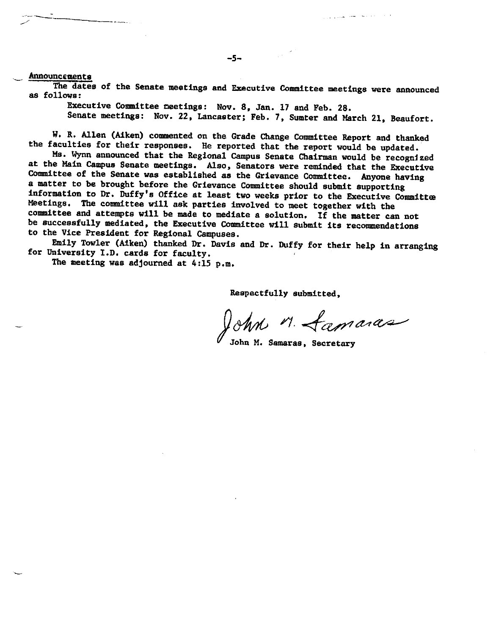\_ AnnouncEment&

The dates of the Senate meetings and Executive Committee meetings were announced as follows:

Executive Committee meetings: Nov. 8, Jan. 17 and Feb. 28. Senate meetings: Nov. 22, Lancaster; Feb. 7, Sumter and March 21, Beaufort.

 $\sim 10^{-2}$ 

W. R. Allen (Aiken) commented on the Grade Change Committee Report and thanked

the faculties for their responses. He reported that the report would be updated.<br>Ms. Wynn announced that the Regional Campus Senate Chairman would be recognized at the Main Campus Senate meetings. Also, Senators were reminded that the Executive Committee of the Senate was established as the Grievance Committee. Anyone having a matter to be brought before the Grievance Committee should submit supporting information to Dr. Duffy's Office at least two weeks prior to the Executive Committee Meetings. The committee will ask parties involved to meet together with the committee and attempts will be made to mediate a solution. If the matter can not<br>be successfully mediated, the Executive Committee will submit its recommendations to the Vice President for Regional Campuses.

Emily Towler (Aiken) thanked Dr, Davis and Dr, Duffy for their help in arranging for University I.D, cards for faculty,

The meeting was adjourned at 4:15 p.m,

Respectfully submitted,

 $\sqrt{8\%}$  M. <u>Lamaras</u>

/John M. Samaras, Secretary